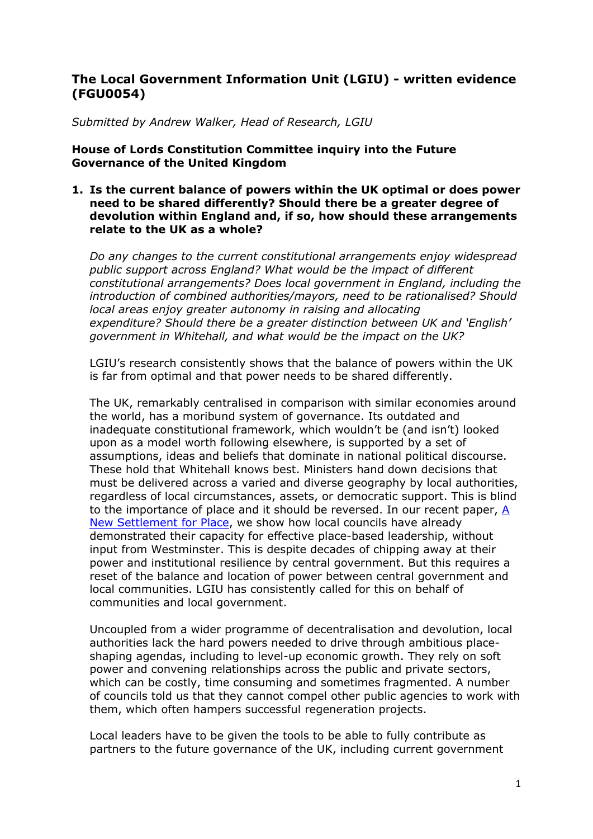# **The Local Government Information Unit (LGIU) - written evidence (FGU0054)**

*Submitted by Andrew Walker, Head of Research, LGIU*

**House of Lords Constitution Committee inquiry into the Future Governance of the United Kingdom**

# **1. Is the current balance of powers within the UK optimal or does power need to be shared differently? Should there be a greater degree of devolution within England and, if so, how should these arrangements relate to the UK as a whole?**

*Do any changes to the current constitutional arrangements enjoy widespread public support across England? What would be the impact of different constitutional arrangements? Does local government in England, including the introduction of combined authorities/mayors, need to be rationalised? Should local areas enjoy greater autonomy in raising and allocating expenditure? Should there be a greater distinction between UK and 'English' government in Whitehall, and what would be the impact on the UK?*

LGIU's research consistently shows that the balance of powers within the UK is far from optimal and that power needs to be shared differently.

The UK, remarkably centralised in comparison with similar economies around the world, has a moribund system of governance. Its outdated and inadequate constitutional framework, which wouldn't be (and isn't) looked upon as a model worth following elsewhere, is supported by a set of assumptions, ideas and beliefs that dominate in national political discourse. These hold that Whitehall knows best. Ministers hand down decisions that must be delivered across a varied and diverse geography by local authorities, regardless of local circumstances, assets, or democratic support. This is blind to the importance of place and it should be reversed. In our recent paper, [A](https://lgiu.org/wp-content/uploads/2021/06/A-new-settlement-place-and-wellbeing-in-local-government.pdf) [New](https://lgiu.org/wp-content/uploads/2021/06/A-new-settlement-place-and-wellbeing-in-local-government.pdf) [Settlement](https://lgiu.org/wp-content/uploads/2021/06/A-new-settlement-place-and-wellbeing-in-local-government.pdf) [for](https://lgiu.org/wp-content/uploads/2021/06/A-new-settlement-place-and-wellbeing-in-local-government.pdf) [Place,](https://lgiu.org/wp-content/uploads/2021/06/A-new-settlement-place-and-wellbeing-in-local-government.pdf) we show how local councils have already demonstrated their capacity for effective place-based leadership, without input from Westminster. This is despite decades of chipping away at their power and institutional resilience by central government. But this requires a reset of the balance and location of power between central government and local communities. LGIU has consistently called for this on behalf of communities and local government.

Uncoupled from a wider programme of decentralisation and devolution, local authorities lack the hard powers needed to drive through ambitious placeshaping agendas, including to level-up economic growth. They rely on soft power and convening relationships across the public and private sectors, which can be costly, time consuming and sometimes fragmented. A number of councils told us that they cannot compel other public agencies to work with them, which often hampers successful regeneration projects.

Local leaders have to be given the tools to be able to fully contribute as partners to the future governance of the UK, including current government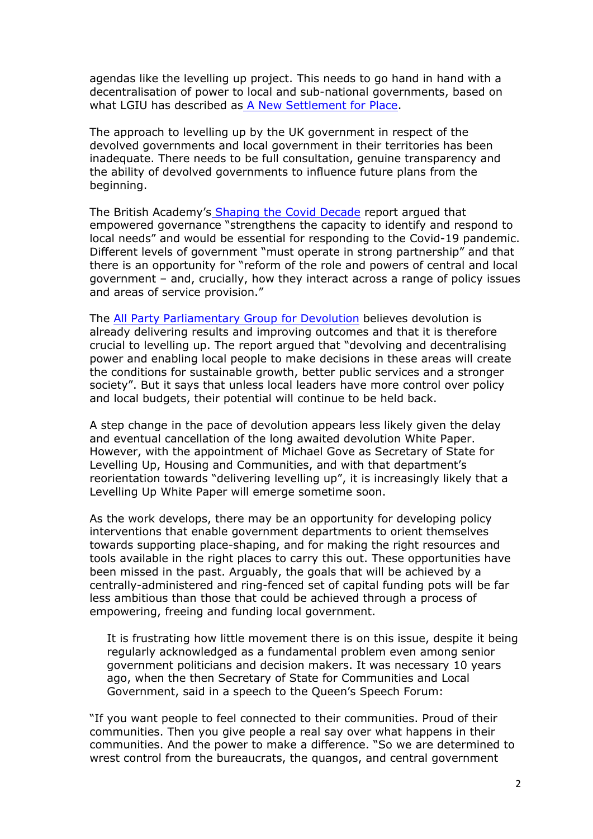agendas like the levelling up project. This needs to go hand in hand with a decentralisation of power to local and sub-national governments, based on what LGIU has described a[s](https://lgiu.org/wp-content/uploads/2021/06/A-new-settlement-place-and-wellbeing-in-local-government.pdf) [A](https://lgiu.org/wp-content/uploads/2021/06/A-new-settlement-place-and-wellbeing-in-local-government.pdf) [New](https://lgiu.org/wp-content/uploads/2021/06/A-new-settlement-place-and-wellbeing-in-local-government.pdf) [Settlement](https://lgiu.org/wp-content/uploads/2021/06/A-new-settlement-place-and-wellbeing-in-local-government.pdf) [for](https://lgiu.org/wp-content/uploads/2021/06/A-new-settlement-place-and-wellbeing-in-local-government.pdf) [Place](https://lgiu.org/wp-content/uploads/2021/06/A-new-settlement-place-and-wellbeing-in-local-government.pdf).

The approach to levelling up by the UK government in respect of the devolved governments and local government in their territories has been inadequate. There needs to be full consultation, genuine transparency and the ability of devolved governments to influence future plans from the beginning.

The British Academy'[s](https://www.thebritishacademy.ac.uk/documents/3239/Shaping-COVID-decade-addressing-long-term-societal-impacts-COVID-19.pdf) [Shaping](https://www.thebritishacademy.ac.uk/documents/3239/Shaping-COVID-decade-addressing-long-term-societal-impacts-COVID-19.pdf) [the](https://www.thebritishacademy.ac.uk/documents/3239/Shaping-COVID-decade-addressing-long-term-societal-impacts-COVID-19.pdf) [Covid](https://www.thebritishacademy.ac.uk/documents/3239/Shaping-COVID-decade-addressing-long-term-societal-impacts-COVID-19.pdf) [Decade](https://www.thebritishacademy.ac.uk/documents/3239/Shaping-COVID-decade-addressing-long-term-societal-impacts-COVID-19.pdf) report argued that empowered governance "strengthens the capacity to identify and respond to local needs" and would be essential for responding to the Covid-19 pandemic. Different levels of government "must operate in strong partnership" and that there is an opportunity for "reform of the role and powers of central and local government – and, crucially, how they interact across a range of policy issues and areas of service provision."

The [All](https://connectpa.co.uk/devolution-appg/levelling-up-devo/) [Party](https://connectpa.co.uk/devolution-appg/levelling-up-devo/) [Parliamentary](https://connectpa.co.uk/devolution-appg/levelling-up-devo/) [Group](https://connectpa.co.uk/devolution-appg/levelling-up-devo/) [for](https://connectpa.co.uk/devolution-appg/levelling-up-devo/) [Devolution](https://connectpa.co.uk/devolution-appg/levelling-up-devo/) believes devolution is already delivering results and improving outcomes and that it is therefore crucial to levelling up. The report argued that "devolving and decentralising power and enabling local people to make decisions in these areas will create the conditions for sustainable growth, better public services and a stronger society". But it says that unless local leaders have more control over policy and local budgets, their potential will continue to be held back.

A step change in the pace of devolution appears less likely given the delay and eventual cancellation of the long awaited devolution White Paper. However, with the appointment of Michael Gove as Secretary of State for Levelling Up, Housing and Communities, and with that department's reorientation towards "delivering levelling up", it is increasingly likely that a Levelling Up White Paper will emerge sometime soon.

As the work develops, there may be an opportunity for developing policy interventions that enable government departments to orient themselves towards supporting place-shaping, and for making the right resources and tools available in the right places to carry this out. These opportunities have been missed in the past. Arguably, the goals that will be achieved by a centrally-administered and ring-fenced set of capital funding pots will be far less ambitious than those that could be achieved through a process of empowering, freeing and funding local government.

It is frustrating how little movement there is on this issue, despite it being regularly acknowledged as a fundamental problem even among senior government politicians and decision makers. It was necessary 10 years ago, when the then Secretary of State for Communities and Local Government, said in a speech to the Queen's Speech Forum:

"If you want people to feel connected to their communities. Proud of their communities. Then you give people a real say over what happens in their communities. And the power to make a difference. "So we are determined to wrest control from the bureaucrats, the quangos, and central government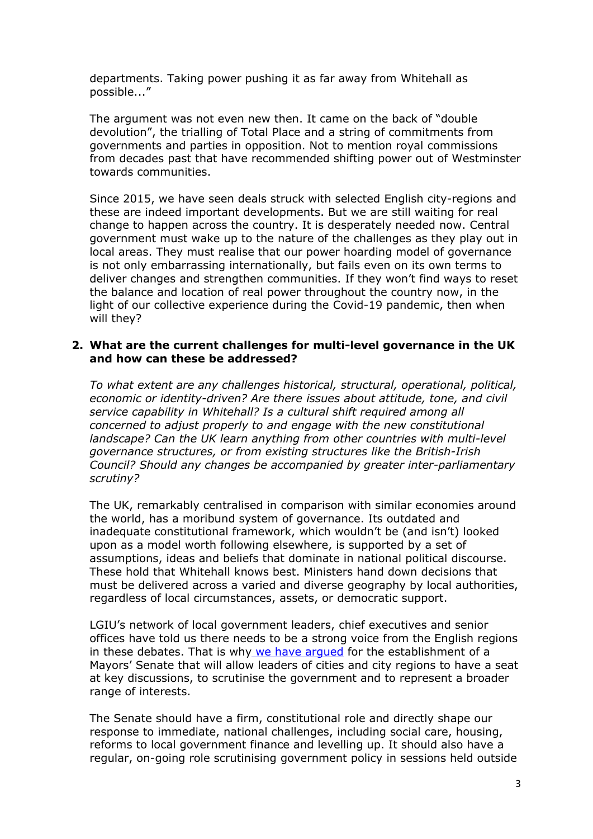departments. Taking power pushing it as far away from Whitehall as possible..."

The argument was not even new then. It came on the back of "double devolution", the trialling of Total Place and a string of commitments from governments and parties in opposition. Not to mention royal commissions from decades past that have recommended shifting power out of Westminster towards communities.

Since 2015, we have seen deals struck with selected English city-regions and these are indeed important developments. But we are still waiting for real change to happen across the country. It is desperately needed now. Central government must wake up to the nature of the challenges as they play out in local areas. They must realise that our power hoarding model of governance is not only embarrassing internationally, but fails even on its own terms to deliver changes and strengthen communities. If they won't find ways to reset the balance and location of real power throughout the country now, in the light of our collective experience during the Covid-19 pandemic, then when will they?

# **2. What are the current challenges for multi-level governance in the UK and how can these be addressed?**

*To what extent are any challenges historical, structural, operational, political, economic or identity-driven? Are there issues about attitude, tone, and civil service capability in Whitehall? Is a cultural shift required among all concerned to adjust properly to and engage with the new constitutional landscape? Can the UK learn anything from other countries with multi-level governance structures, or from existing structures like the British-Irish Council? Should any changes be accompanied by greater inter-parliamentary scrutiny?*

The UK, remarkably centralised in comparison with similar economies around the world, has a moribund system of governance. Its outdated and inadequate constitutional framework, which wouldn't be (and isn't) looked upon as a model worth following elsewhere, is supported by a set of assumptions, ideas and beliefs that dominate in national political discourse. These hold that Whitehall knows best. Ministers hand down decisions that must be delivered across a varied and diverse geography by local authorities, regardless of local circumstances, assets, or democratic support.

LGIU's network of local government leaders, chief executives and senior offices have told us there needs to be a strong voice from the English regions in these debates. That is why [we](https://lgiu.org/wp-content/uploads/2017/10/Beyond-devolution.pdf) [have](https://lgiu.org/wp-content/uploads/2017/10/Beyond-devolution.pdf) [argued](https://lgiu.org/wp-content/uploads/2017/10/Beyond-devolution.pdf) for the establishment of a Mayors' Senate that will allow leaders of cities and city regions to have a seat at key discussions, to scrutinise the government and to represent a broader range of interests.

The Senate should have a firm, constitutional role and directly shape our response to immediate, national challenges, including social care, housing, reforms to local government finance and levelling up. It should also have a regular, on-going role scrutinising government policy in sessions held outside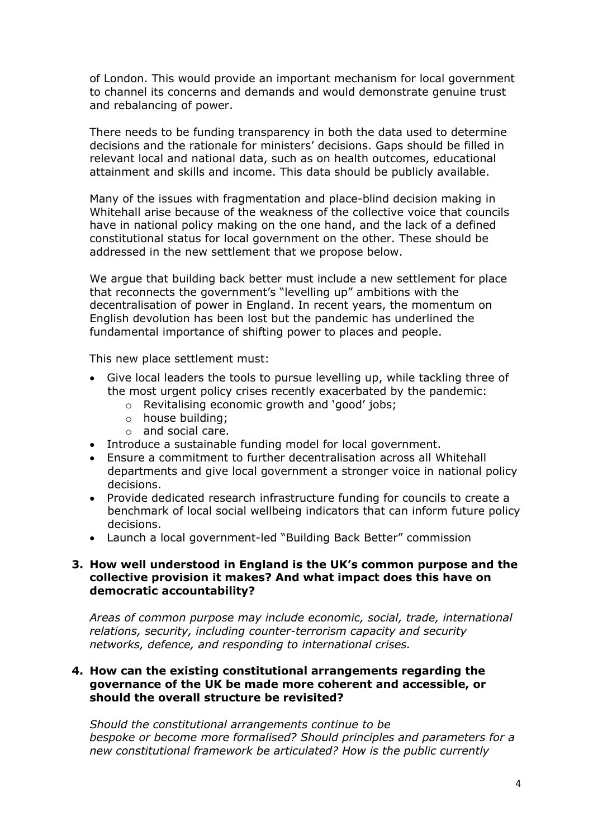of London. This would provide an important mechanism for local government to channel its concerns and demands and would demonstrate genuine trust and rebalancing of power.

There needs to be funding transparency in both the data used to determine decisions and the rationale for ministers' decisions. Gaps should be filled in relevant local and national data, such as on health outcomes, educational attainment and skills and income. This data should be publicly available.

Many of the issues with fragmentation and place-blind decision making in Whitehall arise because of the weakness of the collective voice that councils have in national policy making on the one hand, and the lack of a defined constitutional status for local government on the other. These should be addressed in the new settlement that we propose below.

We argue that building back better must include a new settlement for place that reconnects the government's "levelling up" ambitions with the decentralisation of power in England. In recent years, the momentum on English devolution has been lost but the pandemic has underlined the fundamental importance of shifting power to places and people.

This new place settlement must:

- Give local leaders the tools to pursue levelling up, while tackling three of the most urgent policy crises recently exacerbated by the pandemic:
	- o Revitalising economic growth and 'good' jobs;
	- o house building;
	- o and social care.
- Introduce a sustainable funding model for local government.
- Ensure a commitment to further decentralisation across all Whitehall departments and give local government a stronger voice in national policy decisions.
- Provide dedicated research infrastructure funding for councils to create a benchmark of local social wellbeing indicators that can inform future policy decisions.
- Launch a local government-led "Building Back Better" commission

#### **3. How well understood in England is the UK's common purpose and the collective provision it makes? And what impact does this have on democratic accountability?**

*Areas of common purpose may include economic, social, trade, international relations, security, including counter-terrorism capacity and security networks, defence, and responding to international crises.*

## **4. How can the existing constitutional arrangements regarding the governance of the UK be made more coherent and accessible, or should the overall structure be revisited?**

*Should the constitutional arrangements continue to be bespoke or become more formalised? Should principles and parameters for a new constitutional framework be articulated? How is the public currently*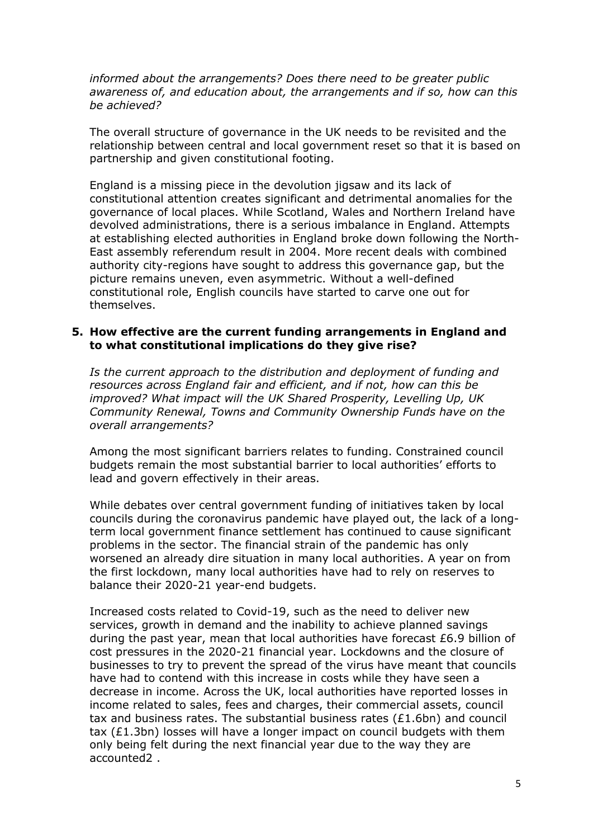*informed about the arrangements? Does there need to be greater public awareness of, and education about, the arrangements and if so, how can this be achieved?*

The overall structure of governance in the UK needs to be revisited and the relationship between central and local government reset so that it is based on partnership and given constitutional footing.

England is a missing piece in the devolution jigsaw and its lack of constitutional attention creates significant and detrimental anomalies for the governance of local places. While Scotland, Wales and Northern Ireland have devolved administrations, there is a serious imbalance in England. Attempts at establishing elected authorities in England broke down following the North-East assembly referendum result in 2004. More recent deals with combined authority city-regions have sought to address this governance gap, but the picture remains uneven, even asymmetric. Without a well-defined constitutional role, English councils have started to carve one out for themselves.

## **5. How effective are the current funding arrangements in England and to what constitutional implications do they give rise?**

*Is the current approach to the distribution and deployment of funding and resources across England fair and efficient, and if not, how can this be improved? What impact will the UK Shared Prosperity, Levelling Up, UK Community Renewal, Towns and Community Ownership Funds have on the overall arrangements?*

Among the most significant barriers relates to funding. Constrained council budgets remain the most substantial barrier to local authorities' efforts to lead and govern effectively in their areas.

While debates over central government funding of initiatives taken by local councils during the coronavirus pandemic have played out, the lack of a longterm local government finance settlement has continued to cause significant problems in the sector. The financial strain of the pandemic has only worsened an already dire situation in many local authorities. A year on from the first lockdown, many local authorities have had to rely on reserves to balance their 2020-21 year-end budgets.

Increased costs related to Covid-19, such as the need to deliver new services, growth in demand and the inability to achieve planned savings during the past year, mean that local authorities have forecast £6.9 billion of cost pressures in the 2020-21 financial year. Lockdowns and the closure of businesses to try to prevent the spread of the virus have meant that councils have had to contend with this increase in costs while they have seen a decrease in income. Across the UK, local authorities have reported losses in income related to sales, fees and charges, their commercial assets, council tax and business rates. The substantial business rates  $(E1.6bn)$  and council tax  $(E1.3bn)$  losses will have a longer impact on council budgets with them only being felt during the next financial year due to the way they are accounted2 .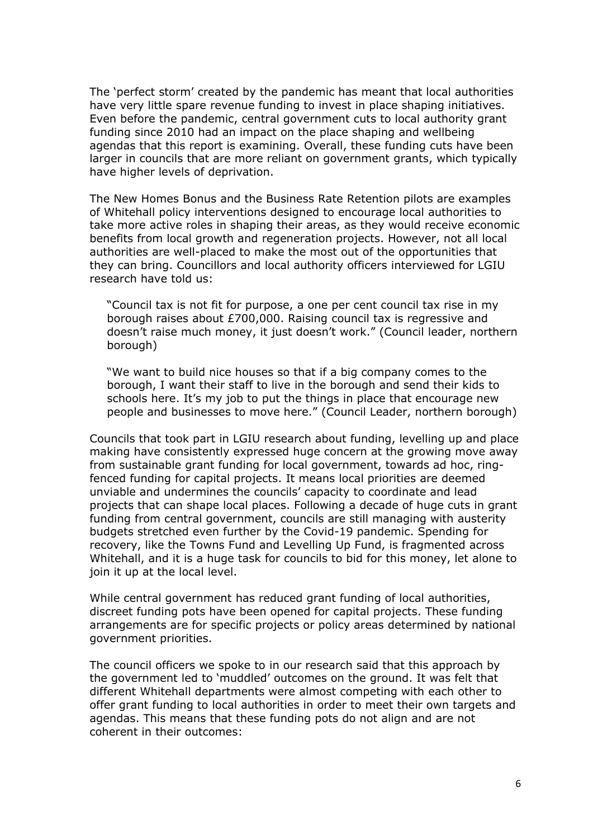The 'perfect storm' created by the pandemic has meant that local authorities have very little spare revenue funding to invest in place shaping initiatives. Even before the pandemic, central government cuts to local authority grant funding since 2010 had an impact on the place shaping and wellbeing agendas that this report is examining. Overall, these funding cuts have been larger in councils that are more reliant on government grants, which typically have higher levels of deprivation.

The New Homes Bonus and the Business Rate Retention pilots are examples of Whitehall policy interventions designed to encourage local authorities to take more active roles in shaping their areas, as they would receive economic benefits from local growth and regeneration projects. However, not all local authorities are well-placed to make the most out of the opportunities that they can bring. Councillors and local authority officers interviewed for LGIU research have told us:

"Council tax is not fit for purpose, a one per cent council tax rise in my borough raises about £700,000. Raising council tax is regressive and doesn't raise much money, it just doesn't work." (Council leader, northern borough)

"We want to build nice houses so that if a big company comes to the borough, I want their staff to live in the borough and send their kids to schools here. It's my job to put the things in place that encourage new people and businesses to move here." (Council Leader, northern borough)

Councils that took part in LGIU research about funding, levelling up and place making have consistently expressed huge concern at the growing move away from sustainable grant funding for local government, towards ad hoc, ringfenced funding for capital projects. It means local priorities are deemed unviable and undermines the councils' capacity to coordinate and lead projects that can shape local places. Following a decade of huge cuts in grant funding from central government, councils are still managing with austerity budgets stretched even further by the Covid-19 pandemic. Spending for recovery, like the Towns Fund and Levelling Up Fund, is fragmented across Whitehall, and it is a huge task for councils to bid for this money, let alone to join it up at the local level.

While central government has reduced grant funding of local authorities, discreet funding pots have been opened for capital projects. These funding arrangements are for specific projects or policy areas determined by national government priorities.

The council officers we spoke to in our research said that this approach by the government led to 'muddled' outcomes on the ground. It was felt that different Whitehall departments were almost competing with each other to offer grant funding to local authorities in order to meet their own targets and agendas. This means that these funding pots do not align and are not coherent in their outcomes: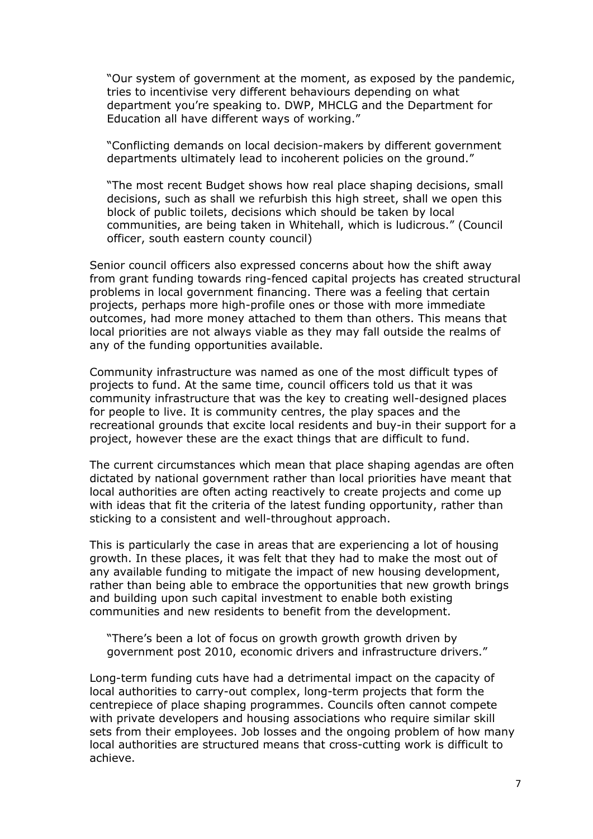"Our system of government at the moment, as exposed by the pandemic, tries to incentivise very different behaviours depending on what department you're speaking to. DWP, MHCLG and the Department for Education all have different ways of working."

"Conflicting demands on local decision-makers by different government departments ultimately lead to incoherent policies on the ground."

"The most recent Budget shows how real place shaping decisions, small decisions, such as shall we refurbish this high street, shall we open this block of public toilets, decisions which should be taken by local communities, are being taken in Whitehall, which is ludicrous." (Council officer, south eastern county council)

Senior council officers also expressed concerns about how the shift away from grant funding towards ring-fenced capital projects has created structural problems in local government financing. There was a feeling that certain projects, perhaps more high-profile ones or those with more immediate outcomes, had more money attached to them than others. This means that local priorities are not always viable as they may fall outside the realms of any of the funding opportunities available.

Community infrastructure was named as one of the most difficult types of projects to fund. At the same time, council officers told us that it was community infrastructure that was the key to creating well-designed places for people to live. It is community centres, the play spaces and the recreational grounds that excite local residents and buy-in their support for a project, however these are the exact things that are difficult to fund.

The current circumstances which mean that place shaping agendas are often dictated by national government rather than local priorities have meant that local authorities are often acting reactively to create projects and come up with ideas that fit the criteria of the latest funding opportunity, rather than sticking to a consistent and well-throughout approach.

This is particularly the case in areas that are experiencing a lot of housing growth. In these places, it was felt that they had to make the most out of any available funding to mitigate the impact of new housing development, rather than being able to embrace the opportunities that new growth brings and building upon such capital investment to enable both existing communities and new residents to benefit from the development.

"There's been a lot of focus on growth growth growth driven by government post 2010, economic drivers and infrastructure drivers."

Long-term funding cuts have had a detrimental impact on the capacity of local authorities to carry-out complex, long-term projects that form the centrepiece of place shaping programmes. Councils often cannot compete with private developers and housing associations who require similar skill sets from their employees. Job losses and the ongoing problem of how many local authorities are structured means that cross-cutting work is difficult to achieve.